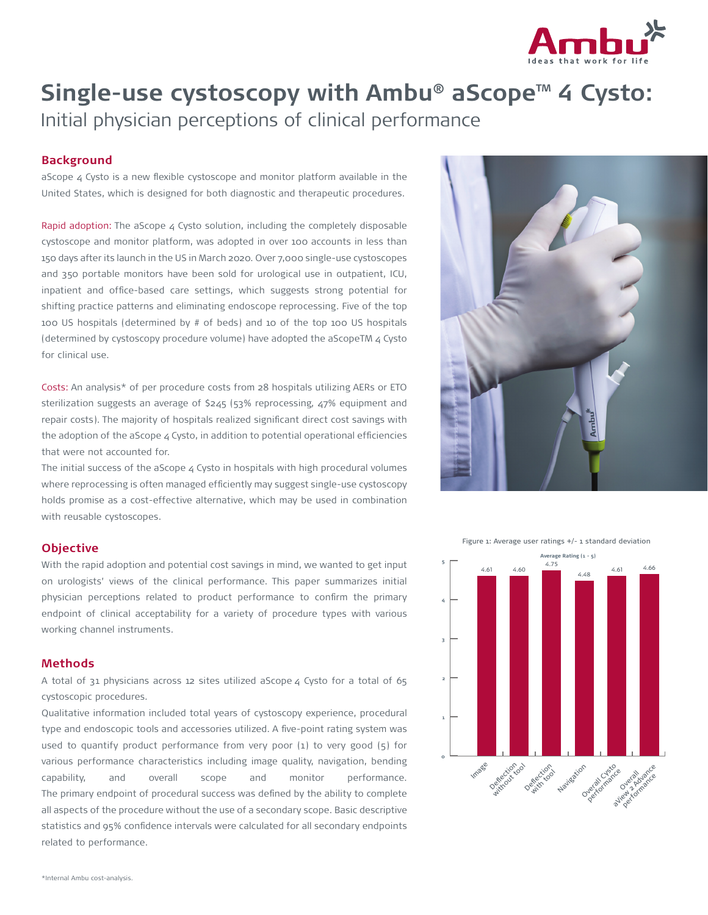

# Single-use cystoscopy with Ambu<sup>®</sup> aScope<sup>™</sup> 4 Cysto: Initial physician perceptions of clinical performance

# **Background**

aScope 4 Cysto is a new flexible cystoscope and monitor platform available in the United States, which is designed for both diagnostic and therapeutic procedures.

Rapid adoption: The aScope  $4$  Cysto solution, including the completely disposable cystoscope and monitor platform, was adopted in over 100 accounts in less than 150 days after its launch in the US in March 2020. Over 7,000 single-use cystoscopes and 350 portable monitors have been sold for urological use in outpatient, ICU, inpatient and office-based care settings, which suggests strong potential for shifting practice patterns and eliminating endoscope reprocessing. Five of the top 100 US hospitals (determined by # of beds) and 10 of the top 100 US hospitals (determined by cystoscopy procedure volume) have adopted the aScopeTM 4 Cysto for clinical use.

Costs: An analysis\* of per procedure costs from 28 hospitals utilizing AERs or ETO sterilization suggests an average of \$245 (53% reprocessing, 47% equipment and repair costs). The majority of hospitals realized significant direct cost savings with the adoption of the aScope  $4$  Cysto, in addition to potential operational efficiencies that were not accounted for.

The initial success of the aScope  $4$  Cysto in hospitals with high procedural volumes where reprocessing is often managed efficiently may suggest single-use cystoscopy holds promise as a cost-effective alternative, which may be used in combination with reusable cystoscopes.

# **Objective**

With the rapid adoption and potential cost savings in mind, we wanted to get input on urologists' views of the clinical performance. This paper summarizes initial physician perceptions related to product performance to confirm the primary endpoint of clinical acceptability for a variety of procedure types with various working channel instruments.

#### **Methods**

A total of 31 physicians across 12 sites utilized aScope 4 Cysto for a total of 65 cystoscopic procedures.

Qualitative information included total years of cystoscopy experience, procedural type and endoscopic tools and accessories utilized. A five-point rating system was used to quantify product performance from very poor (1) to very good (5) for various performance characteristics including image quality, navigation, bending capability, and overall scope and monitor performance. The primary endpoint of procedural success was defined by the ability to complete all aspects of the procedure without the use of a secondary scope. Basic descriptive statistics and 95% confidence intervals were calculated for all secondary endpoints related to performance.



Figure 1: Average user ratings +/- 1 standard deviation